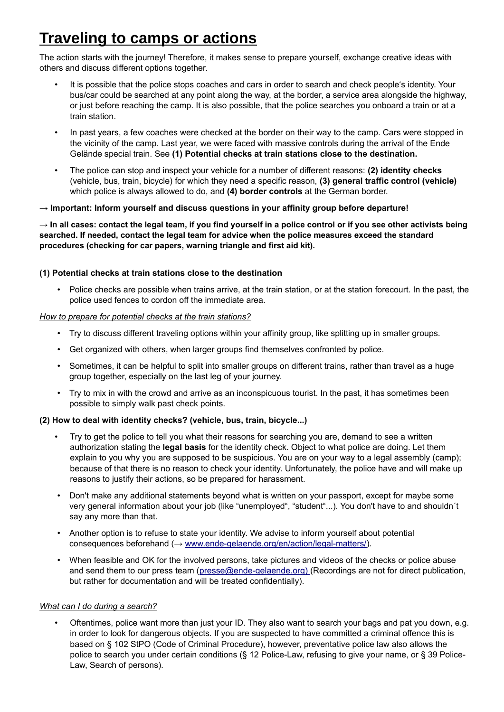# **Traveling to camps or actions**

The action starts with the journey! Therefore, it makes sense to prepare yourself, exchange creative ideas with others and discuss different options together.

- It is possible that the police stops coaches and cars in order to search and check people's identity. Your bus/car could be searched at any point along the way, at the border, a service area alongside the highway, or just before reaching the camp. It is also possible, that the police searches you onboard a train or at a train station.
- In past years, a few coaches were checked at the border on their way to the camp. Cars were stopped in the vicinity of the camp. Last year, we were faced with massive controls during the arrival of the Ende Gelände special train. See **(1) Potential checks at train stations close to the destination.**
- The police can stop and inspect your vehicle for a number of different reasons: **(2) identity checks** (vehicle, bus, train, bicycle) for which they need a specific reason, **(3) general traffic control (vehicle)**  which police is always allowed to do, and **(4) border controls** at the German border.

# **→ Important: Inform yourself and discuss questions in your affinity group before departure!**

**→ In all cases: contact the legal team, if you find yourself in a police control or if you see other activists being searched. If needed, contact the legal team for advice when the police measures exceed the standard procedures (checking for car papers, warning triangle and first aid kit).** 

# **(1) Potential checks at train stations close to the destination**

• Police checks are possible when trains arrive, at the train station, or at the station forecourt. In the past, the police used fences to cordon off the immediate area.

# *How to prepare for potential checks at the train stations?*

- Try to discuss different traveling options within your affinity group, like splitting up in smaller groups.
- Get organized with others, when larger groups find themselves confronted by police.
- Sometimes, it can be helpful to split into smaller groups on different trains, rather than travel as a huge group together, especially on the last leg of your journey.
- Try to mix in with the crowd and arrive as an inconspicuous tourist. In the past, it has sometimes been possible to simply walk past check points.

#### **(2) How to deal with identity checks? (vehicle, bus, train, bicycle...)**

- Try to get the police to tell you what their reasons for searching you are, demand to see a written authorization stating the **legal basis** for the identity check. Object to what police are doing. Let them explain to you why you are supposed to be suspicious. You are on your way to a legal assembly (camp); because of that there is no reason to check your identity. Unfortunately, the police have and will make up reasons to justify their actions, so be prepared for harassment.
- Don't make any additional statements beyond what is written on your passport, except for maybe some very general information about your job (like "unemployed", "student"...). You don't have to and shouldn´t say any more than that.
- Another option is to refuse to state your identity. We advise to inform yourself about potential consequences beforehand (→ [www.ende-gelaende.org/en/action/legal-matters/](http://www.ende-gelaende.org/en/action/legal-matters/)).
- When feasible and OK for the involved persons, take pictures and videos of the checks or police abuse and send them to our press team ([presse@ende-gelaende.org\) \(](mailto:presse@ende-gelaende.org))Recordings are not for direct publication, but rather for documentation and will be treated confidentially).

#### *What can I do during a search?*

• Oftentimes, police want more than just your ID. They also want to search your bags and pat you down, e.g. in order to look for dangerous objects. If you are suspected to have committed a criminal offence this is based on § 102 StPO (Code of Criminal Procedure), however, preventative police law also allows the police to search you under certain conditions (§ 12 Police-Law, refusing to give your name, or § 39 Police-Law, Search of persons).